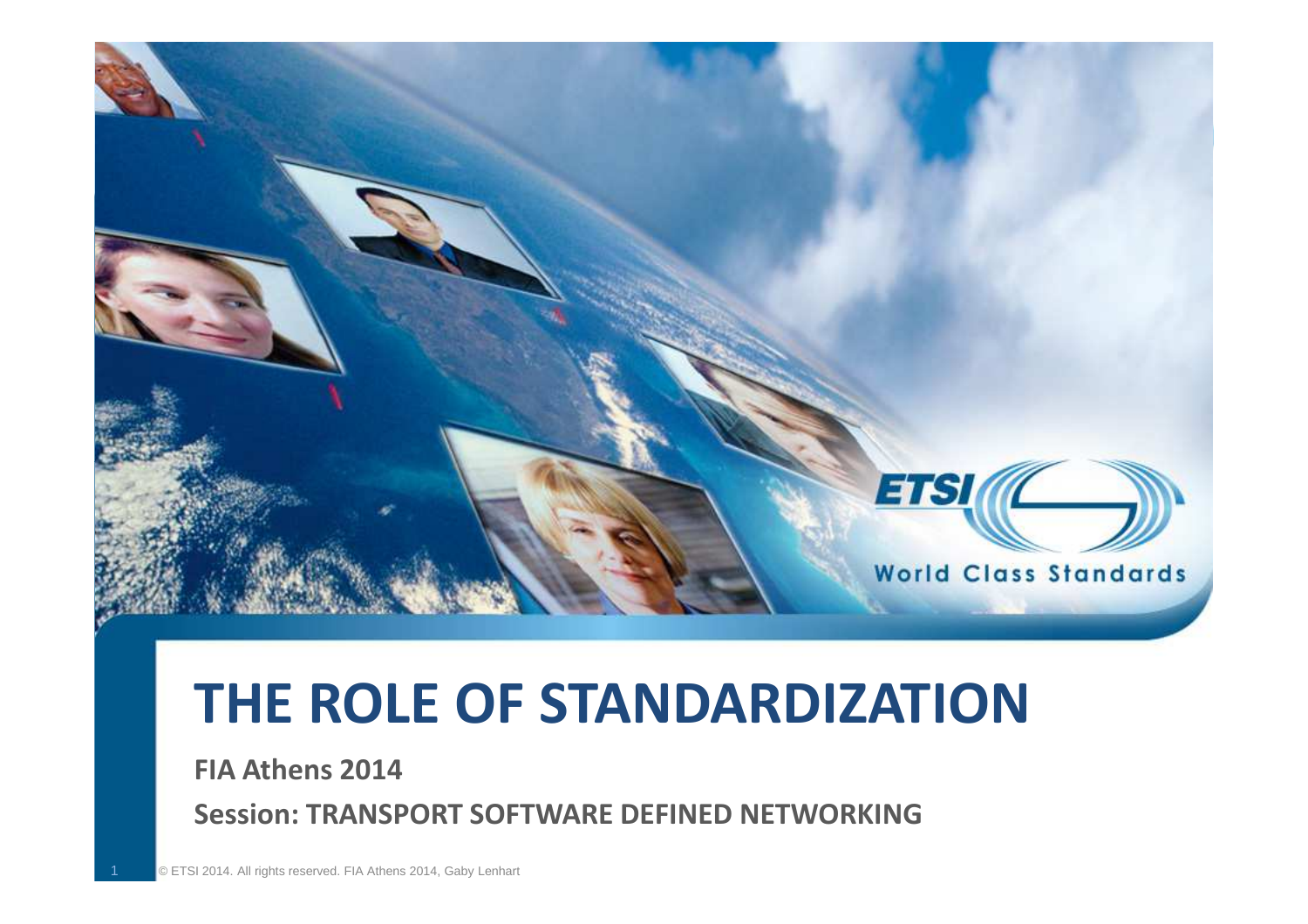

# **THE ROLE OF STANDARDIZATION**

**FIA Athens 2014** 

1

**Session: TRANSPORT SOFTWARE DEFINED NETWORKING**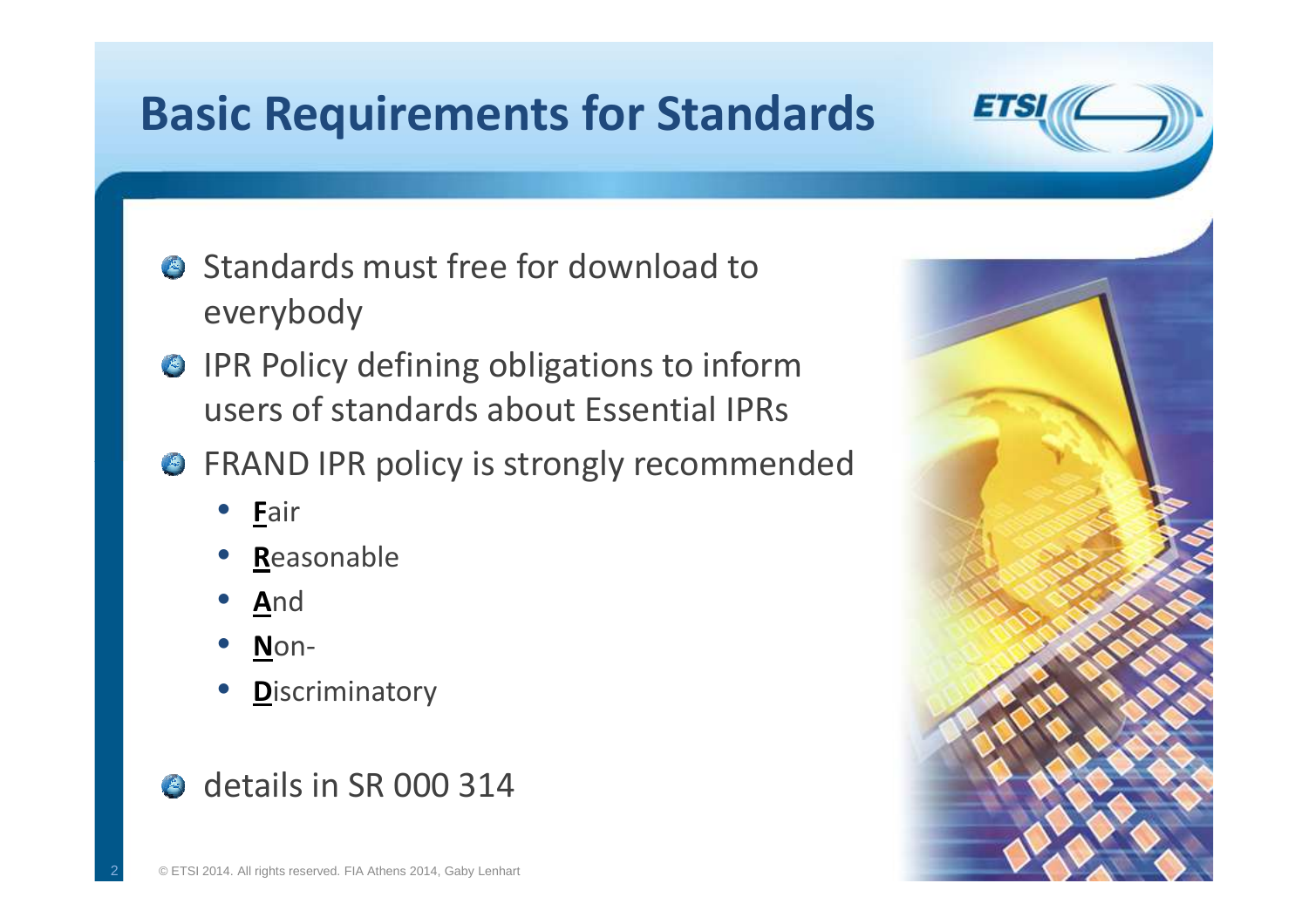# **Basic Requirements for Standards**

- **Standards must free for download to** everybody
- **O** IPR Policy defining obligations to inform users of standards about Essential IPRs
- **G** FRAND IPR policy is strongly recommended
	- •**F**air
	- •**R**easonable
	- •**A**nd
	- •**N**on-

2

•**D**iscriminatory

### details in SR 000 314



**ETSI**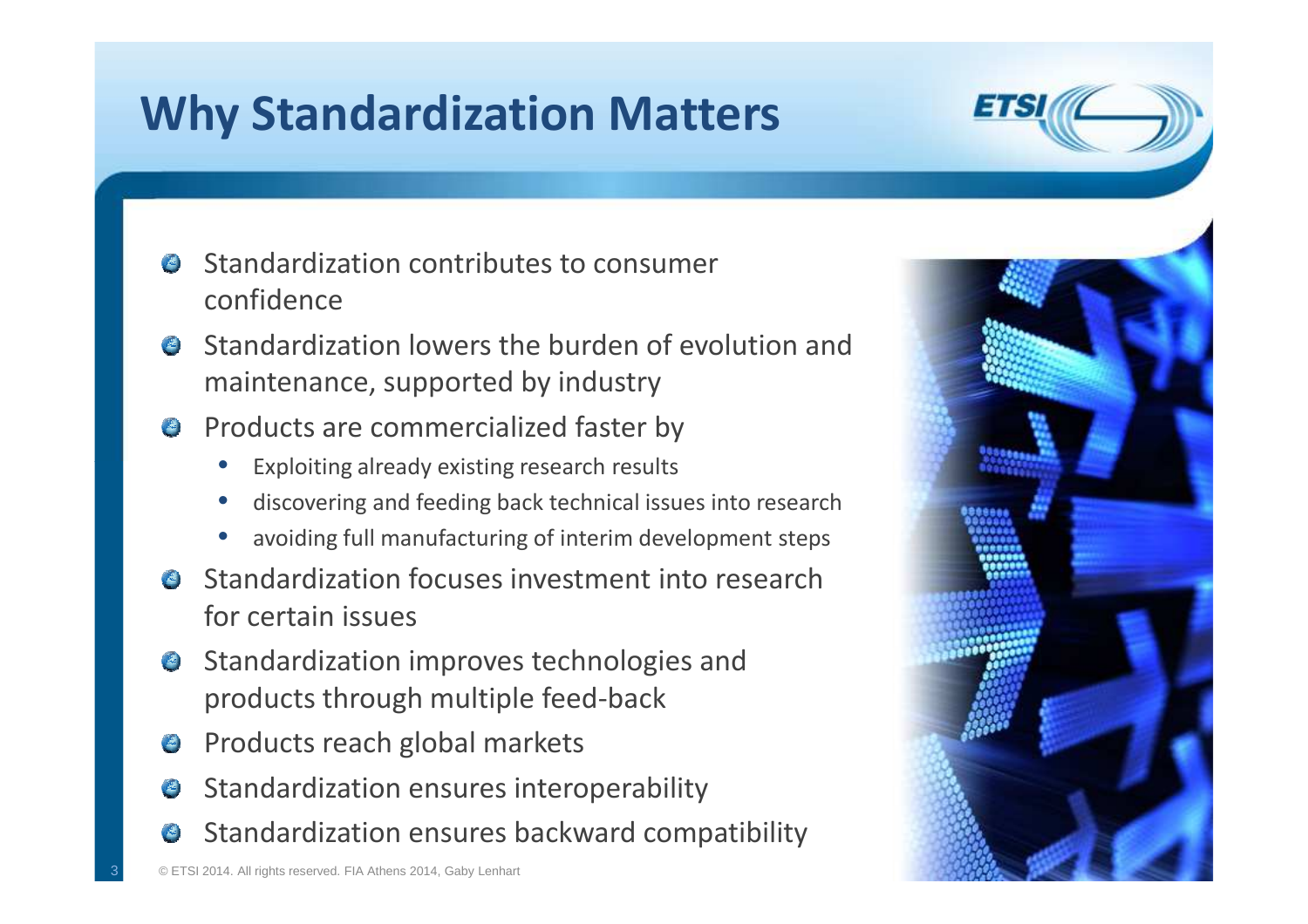# **Why Standardization Matters**

- Standardization contributes to consumer  $\frac{d}{dx}$ confidence
- **A** Standardization lowers the burden of evolution and maintenance, supported by industry
- **Products are commercialized faster by** 
	- •Exploiting already existing research results
	- •discovering and feeding back technical issues into research
	- •avoiding full manufacturing of interim development steps
- **Standardization focuses investment into research** for certain issues
- **Standardization improves technologies and** products through multiple feed-back
- **Products reach global markets**
- Standardization ensures interoperability
- Standardization ensures backward compatibility

3



**ETS**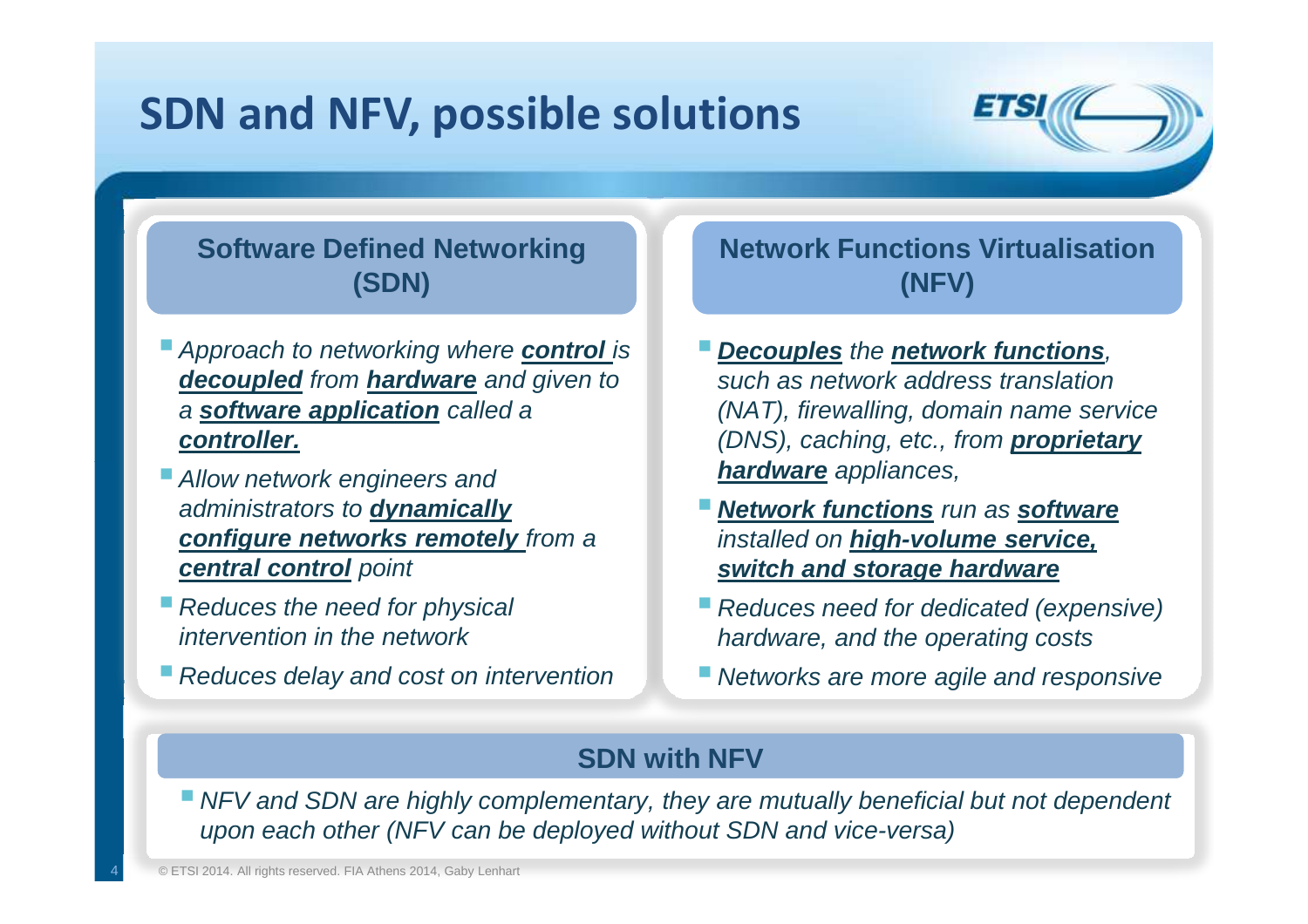### **SDN and NFV, possible solutions**



#### v**(SDN)Software Defined Networking**

- **Approach to networking where control is decoupled** from **hardware** and given to a **software application** called a **controller.**
- **Allow network engineers and** administrators to **dynamically configure networks remotely** from a **central control** point
- $\blacksquare$  Reduces the need for physical intervention in the network
- **Reduces delay and cost on intervention**

(NFV) **Network Functions Virtualisation** 

- **Decouples** the **network functions**, such as network address translation (NAT), firewalling, domain name service (DNS), caching, etc., from **proprietary hardware** appliances,
- **Network functions** run as **software** installed on **high-volume service, switch and storage hardware**
- Reduces need for dedicated (expensive) hardware, and the operating costs
- **Networks are more agile and responsive**

#### **SDN with NFV**

NFV and SDN are highly complementary, they are mutually beneficial but not dependent upon each other (NFV can be deployed without SDN and vice-versa)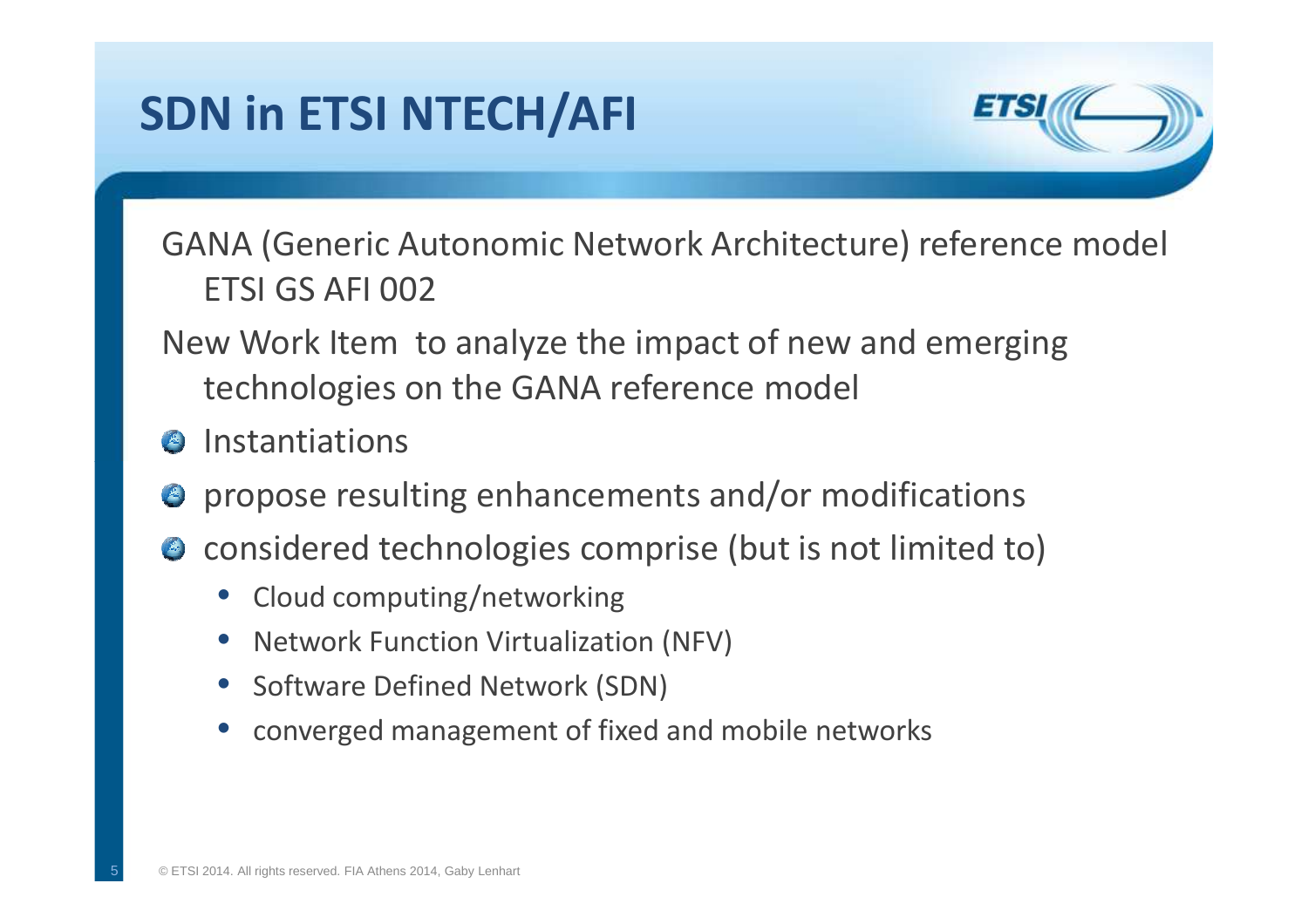# **SDN in ETSI NTECH/AFI**



GANA (Generic Autonomic Network Architecture) reference modelETSI GS AFI 002

- New Work Item to analyze the impact of new and emerging technologies on the GANA reference model
- **8** Instantiations
- $\bullet$  propose resulting enhancements and/or modifications
- considered technologies comprise (but is not limited to)
	- Cloud computing/networking
	- •Network Function Virtualization (NFV)
	- Software Defined Network (SDN)
	- •converged management of fixed and mobile networks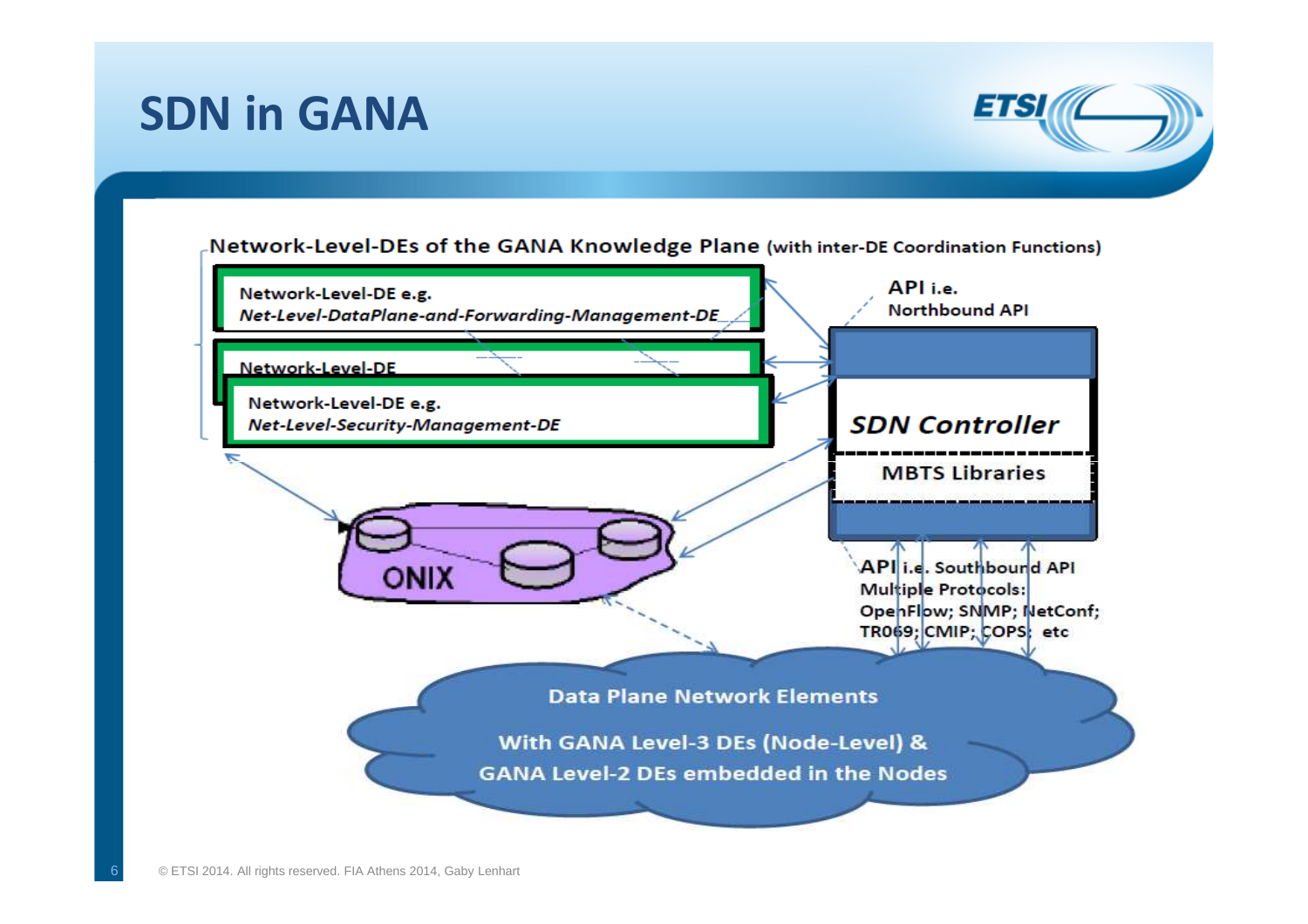### **SDN in GANA**



Network-Level-DEs of the GANA Knowledge Plane (with inter-DE Coordination Functions)

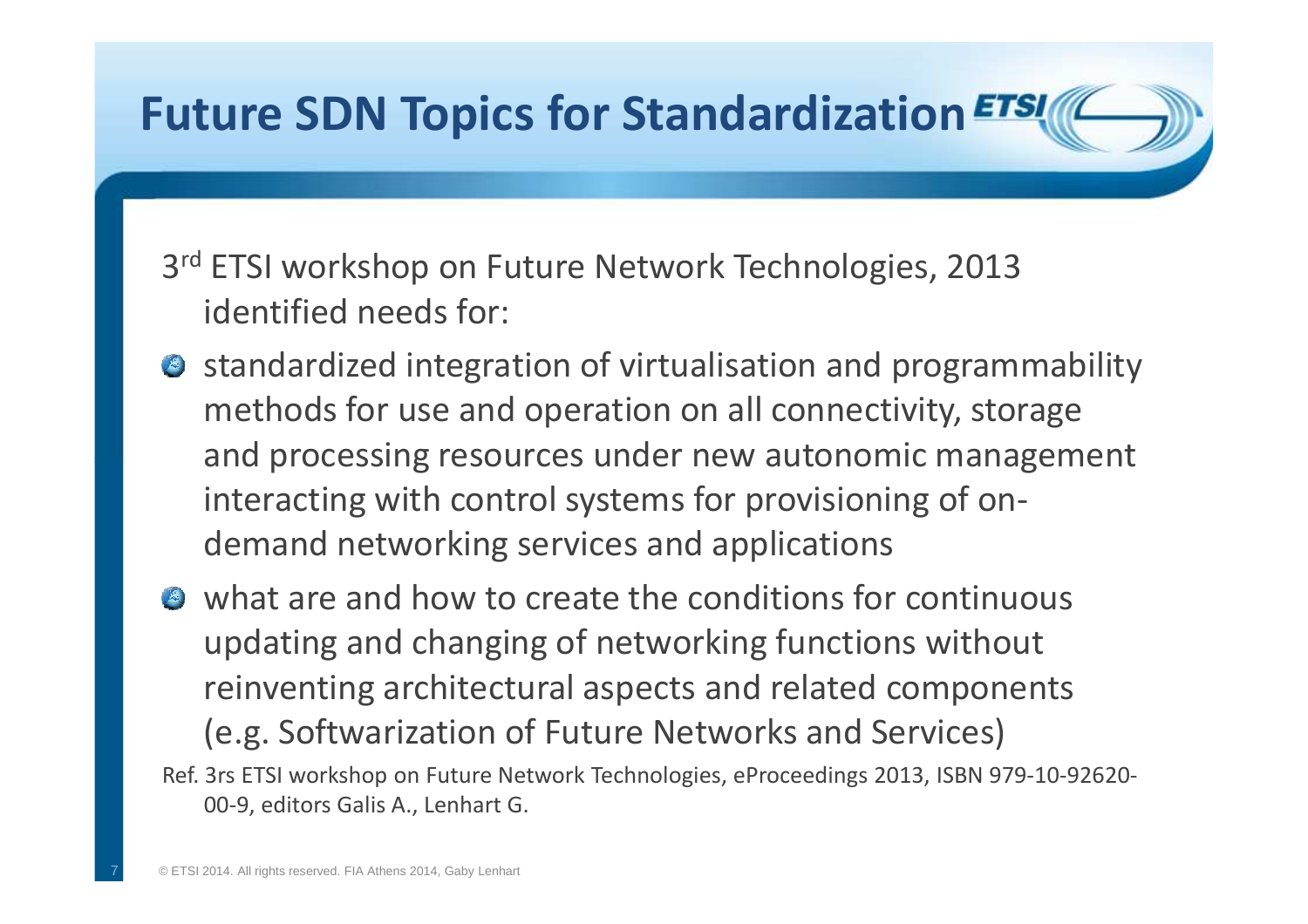# **Future SDN Topics for Standardization**3<sup>rd</sup> ETSI workshop on Future Network Technologies, 2013 identified needs for:**•** standardized integration of virtualisation and programmability methods for use and operation on all connectivity, storage and processing resources under new autonomic management interacting with control systems for provisioning of ondemand networking services and applicationswhat are and how to create the conditions for continuous updating and changing of networking functions without

- reinventing architectural aspects and related components (e.g. Softwarization of Future Networks and Services)
- Ref. 3rs ETSI workshop on Future Network Technologies, eProceedings 2013, ISBN 979-10-92620-00-9, editors Galis A., Lenhart G.